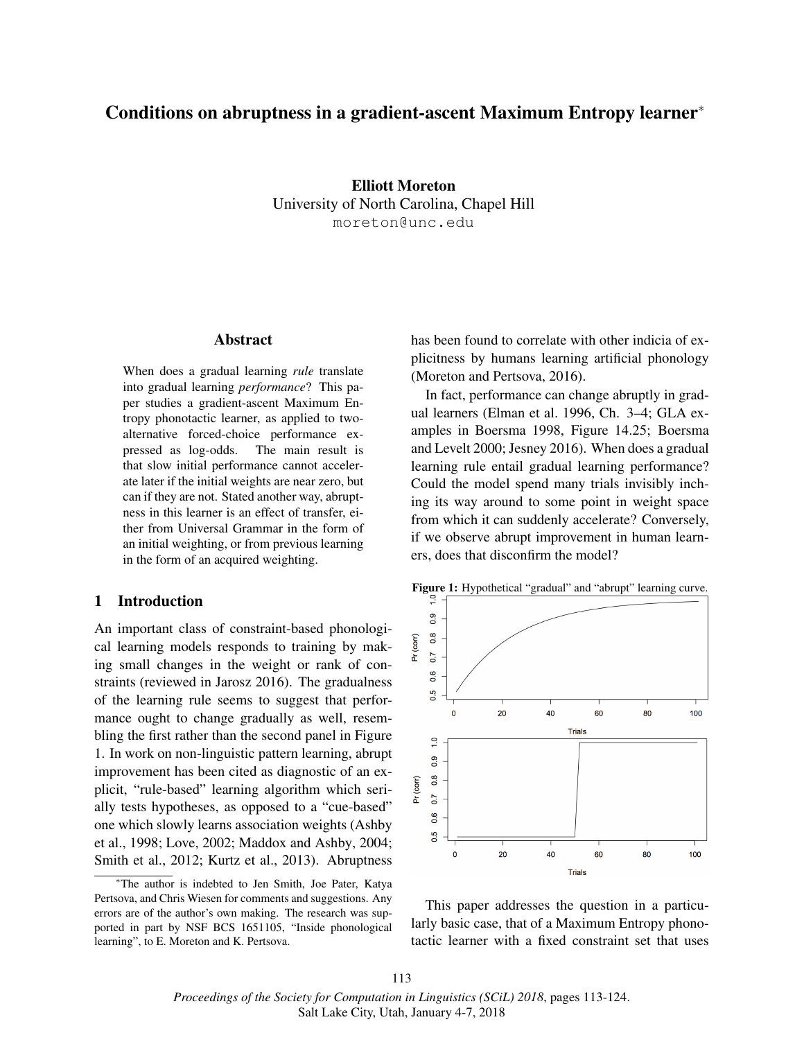# Conditions on abruptness in a gradient-ascent Maximum Entropy learner<sup>∗</sup>

Elliott Moreton University of North Carolina, Chapel Hill moreton@unc.edu

#### Abstract

When does a gradual learning *rule* translate into gradual learning *performance*? This paper studies a gradient-ascent Maximum Entropy phonotactic learner, as applied to twoalternative forced-choice performance expressed as log-odds. The main result is that slow initial performance cannot accelerate later if the initial weights are near zero, but can if they are not. Stated another way, abruptness in this learner is an effect of transfer, either from Universal Grammar in the form of an initial weighting, or from previous learning in the form of an acquired weighting.

### 1 Introduction

An important class of constraint-based phonological learning models responds to training by making small changes in the weight or rank of constraints (reviewed in Jarosz 2016). The gradualness of the learning rule seems to suggest that performance ought to change gradually as well, resembling the first rather than the second panel in Figure 1. In work on non-linguistic pattern learning, abrupt improvement has been cited as diagnostic of an explicit, "rule-based" learning algorithm which serially tests hypotheses, as opposed to a "cue-based" one which slowly learns association weights (Ashby et al., 1998; Love, 2002; Maddox and Ashby, 2004; Smith et al., 2012; Kurtz et al., 2013). Abruptness

<sup>∗</sup>The author is indebted to Jen Smith, Joe Pater, Katya Pertsova, and Chris Wiesen for comments and suggestions. Any errors are of the author's own making. The research was supported in part by NSF BCS 1651105, "Inside phonological learning", to E. Moreton and K. Pertsova.

has been found to correlate with other indicia of explicitness by humans learning artificial phonology (Moreton and Pertsova, 2016).

In fact, performance can change abruptly in gradual learners (Elman et al. 1996, Ch. 3–4; GLA examples in Boersma 1998, Figure 14.25; Boersma and Levelt 2000; Jesney 2016). When does a gradual learning rule entail gradual learning performance? Could the model spend many trials invisibly inching its way around to some point in weight space from which it can suddenly accelerate? Conversely, if we observe abrupt improvement in human learners, does that disconfirm the model?



This paper addresses the question in a particularly basic case, that of a Maximum Entropy phonotactic learner with a fixed constraint set that uses

113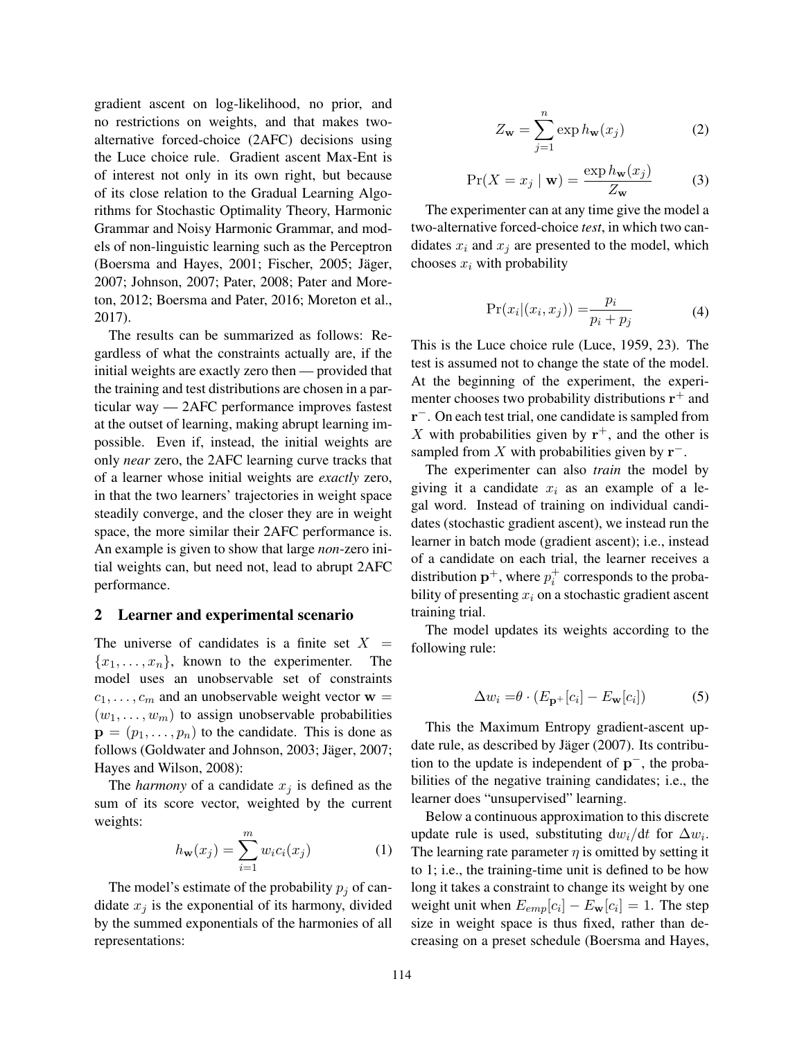gradient ascent on log-likelihood, no prior, and no restrictions on weights, and that makes twoalternative forced-choice (2AFC) decisions using the Luce choice rule. Gradient ascent Max-Ent is of interest not only in its own right, but because of its close relation to the Gradual Learning Algorithms for Stochastic Optimality Theory, Harmonic Grammar and Noisy Harmonic Grammar, and models of non-linguistic learning such as the Perceptron (Boersma and Hayes,  $2001$ ; Fischer,  $2005$ ; Jäger, 2007; Johnson, 2007; Pater, 2008; Pater and Moreton, 2012; Boersma and Pater, 2016; Moreton et al., 2017).

The results can be summarized as follows: Regardless of what the constraints actually are, if the initial weights are exactly zero then — provided that the training and test distributions are chosen in a particular way — 2AFC performance improves fastest at the outset of learning, making abrupt learning impossible. Even if, instead, the initial weights are only *near* zero, the 2AFC learning curve tracks that of a learner whose initial weights are *exactly* zero, in that the two learners' trajectories in weight space steadily converge, and the closer they are in weight space, the more similar their 2AFC performance is. An example is given to show that large *non*-zero initial weights can, but need not, lead to abrupt 2AFC performance.

#### 2 Learner and experimental scenario

The universe of candidates is a finite set  $X =$  ${x_1, \ldots, x_n}$ , known to the experimenter. The model uses an unobservable set of constraints  $c_1, \ldots, c_m$  and an unobservable weight vector  $w =$  $(w_1, \ldots, w_m)$  to assign unobservable probabilities  $\mathbf{p} = (p_1, \ldots, p_n)$  to the candidate. This is done as follows (Goldwater and Johnson, 2003; Jäger, 2007; Hayes and Wilson, 2008):

The *harmony* of a candidate  $x_j$  is defined as the sum of its score vector, weighted by the current weights:

$$
h_{\mathbf{w}}(x_j) = \sum_{i=1}^{m} w_i c_i(x_j)
$$
 (1)

The model's estimate of the probability  $p_j$  of candidate  $x_j$  is the exponential of its harmony, divided by the summed exponentials of the harmonies of all representations:

$$
Z_{\mathbf{w}} = \sum_{j=1}^{n} \exp h_{\mathbf{w}}(x_j)
$$
 (2)

$$
\Pr(X = x_j \mid \mathbf{w}) = \frac{\exp h_{\mathbf{w}}(x_j)}{Z_{\mathbf{w}}}
$$
(3)

The experimenter can at any time give the model a two-alternative forced-choice *test*, in which two candidates  $x_i$  and  $x_j$  are presented to the model, which chooses  $x_i$  with probability

$$
Pr(x_i|(x_i, x_j)) = \frac{p_i}{p_i + p_j}
$$
\n(4)

This is the Luce choice rule (Luce, 1959, 23). The test is assumed not to change the state of the model. At the beginning of the experiment, the experimenter chooses two probability distributions  $\mathbf{r}^+$  and r −. On each test trial, one candidate is sampled from X with probabilities given by  $r^+$ , and the other is sampled from X with probabilities given by  $\mathbf{r}^-$ .

The experimenter can also *train* the model by giving it a candidate  $x_i$  as an example of a legal word. Instead of training on individual candidates (stochastic gradient ascent), we instead run the learner in batch mode (gradient ascent); i.e., instead of a candidate on each trial, the learner receives a distribution  $\mathbf{p}^+$ , where  $p_i^+$  corresponds to the probability of presenting  $x_i$  on a stochastic gradient ascent training trial.

The model updates its weights according to the following rule:

$$
\Delta w_i = \theta \cdot (E_{\mathbf{p}^+}[c_i] - E_{\mathbf{w}}[c_i]) \tag{5}
$$

This the Maximum Entropy gradient-ascent update rule, as described by Jäger  $(2007)$ . Its contribution to the update is independent of  $p^-$ , the probabilities of the negative training candidates; i.e., the learner does "unsupervised" learning.

Below a continuous approximation to this discrete update rule is used, substituting  $dw_i/dt$  for  $\Delta w_i$ . The learning rate parameter  $\eta$  is omitted by setting it to 1; i.e., the training-time unit is defined to be how long it takes a constraint to change its weight by one weight unit when  $E_{emp}[c_i] - E_{\bf w}[c_i] = 1$ . The step size in weight space is thus fixed, rather than decreasing on a preset schedule (Boersma and Hayes,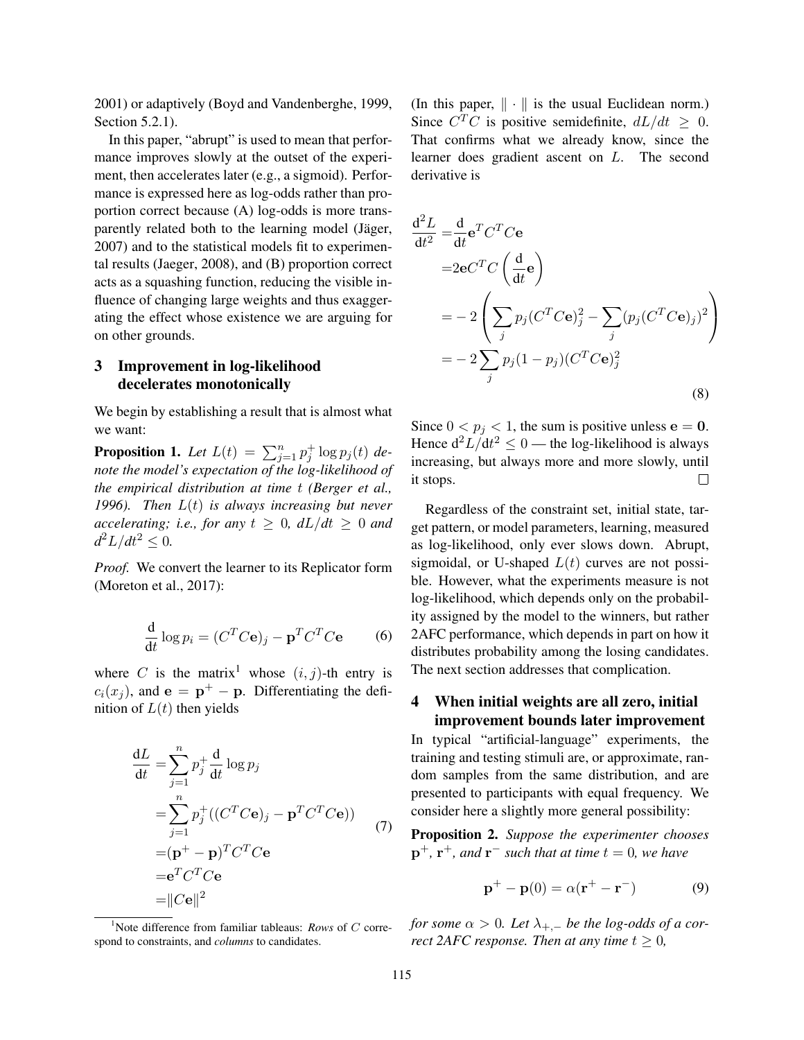2001) or adaptively (Boyd and Vandenberghe, 1999, Section 5.2.1).

In this paper, "abrupt" is used to mean that performance improves slowly at the outset of the experiment, then accelerates later (e.g., a sigmoid). Performance is expressed here as log-odds rather than proportion correct because (A) log-odds is more transparently related both to the learning model (Jäger, 2007) and to the statistical models fit to experimental results (Jaeger, 2008), and (B) proportion correct acts as a squashing function, reducing the visible influence of changing large weights and thus exaggerating the effect whose existence we are arguing for on other grounds.

## 3 Improvement in log-likelihood decelerates monotonically

We begin by establishing a result that is almost what we want:

**Proposition 1.** Let  $L(t) = \sum_{j=1}^{n} p_j^{\dagger} \log p_j(t)$  de*note the model's expectation of the log-likelihood of the empirical distribution at time* t *(Berger et al., 1996). Then* L(t) *is always increasing but never accelerating; i.e., for any*  $t \geq 0$ *,*  $dL/dt \geq 0$  *and*  $d^2L/dt^2 \leq 0.$ 

*Proof.* We convert the learner to its Replicator form (Moreton et al., 2017):

$$
\frac{\mathrm{d}}{\mathrm{d}t}\log p_i = (C^T C \mathbf{e})_j - \mathbf{p}^T C^T C \mathbf{e}
$$
 (6)

where C is the matrix<sup>1</sup> whose  $(i, j)$ -th entry is  $c_i(x_j)$ , and  $e = \mathbf{p}^+ - \mathbf{p}$ . Differentiating the definition of  $L(t)$  then yields

$$
\frac{dL}{dt} = \sum_{j=1}^{n} p_j^+ \frac{d}{dt} \log p_j
$$
  
\n
$$
= \sum_{j=1}^{n} p_j^+ ((C^T C \mathbf{e})_j - \mathbf{p}^T C^T C \mathbf{e})
$$
  
\n
$$
= (\mathbf{p}^+ - \mathbf{p})^T C^T C \mathbf{e}
$$
  
\n
$$
= \mathbf{e}^T C^T C \mathbf{e}
$$
  
\n
$$
= ||C\mathbf{e}||^2
$$
 (7)

<sup>1</sup>Note difference from familiar tableaus: *Rows* of C correspond to constraints, and *columns* to candidates.

(In this paper,  $\|\cdot\|$  is the usual Euclidean norm.) Since  $C^T C$  is positive semidefinite,  $dL/dt \geq 0$ . That confirms what we already know, since the learner does gradient ascent on L. The second derivative is

$$
\frac{d^2 L}{dt^2} = \frac{d}{dt} e^T C^T C e
$$
  
=  $2e^{CT} C \left(\frac{d}{dt} e\right)$   
=  $-2 \left( \sum_j p_j (C^T C e)_j^2 - \sum_j (p_j (C^T C e)_j)^2 \right)$   
=  $-2 \sum_j p_j (1 - p_j) (C^T C e)_j^2$  (8)

Since  $0 < p_j < 1$ , the sum is positive unless  $e = 0$ . Hence  $d^2L/dt^2 \leq 0$  — the log-likelihood is always increasing, but always more and more slowly, until it stops.  $\Box$ 

Regardless of the constraint set, initial state, target pattern, or model parameters, learning, measured as log-likelihood, only ever slows down. Abrupt, sigmoidal, or U-shaped  $L(t)$  curves are not possible. However, what the experiments measure is not log-likelihood, which depends only on the probability assigned by the model to the winners, but rather 2AFC performance, which depends in part on how it distributes probability among the losing candidates. The next section addresses that complication.

## 4 When initial weights are all zero, initial improvement bounds later improvement

In typical "artificial-language" experiments, the training and testing stimuli are, or approximate, random samples from the same distribution, and are presented to participants with equal frequency. We consider here a slightly more general possibility:

Proposition 2. *Suppose the experimenter chooses*  $\mathbf{p}^+$ ,  $\mathbf{r}^+$ *, and*  $\mathbf{r}^-$  such that at time  $t = 0$ *, we have* 

$$
\mathbf{p}^+ - \mathbf{p}(0) = \alpha(\mathbf{r}^+ - \mathbf{r}^-) \tag{9}
$$

*for some*  $\alpha > 0$ *. Let*  $\lambda_{+,-}$  *be the log-odds of a correct 2AFC response. Then at any time*  $t \geq 0$ *,*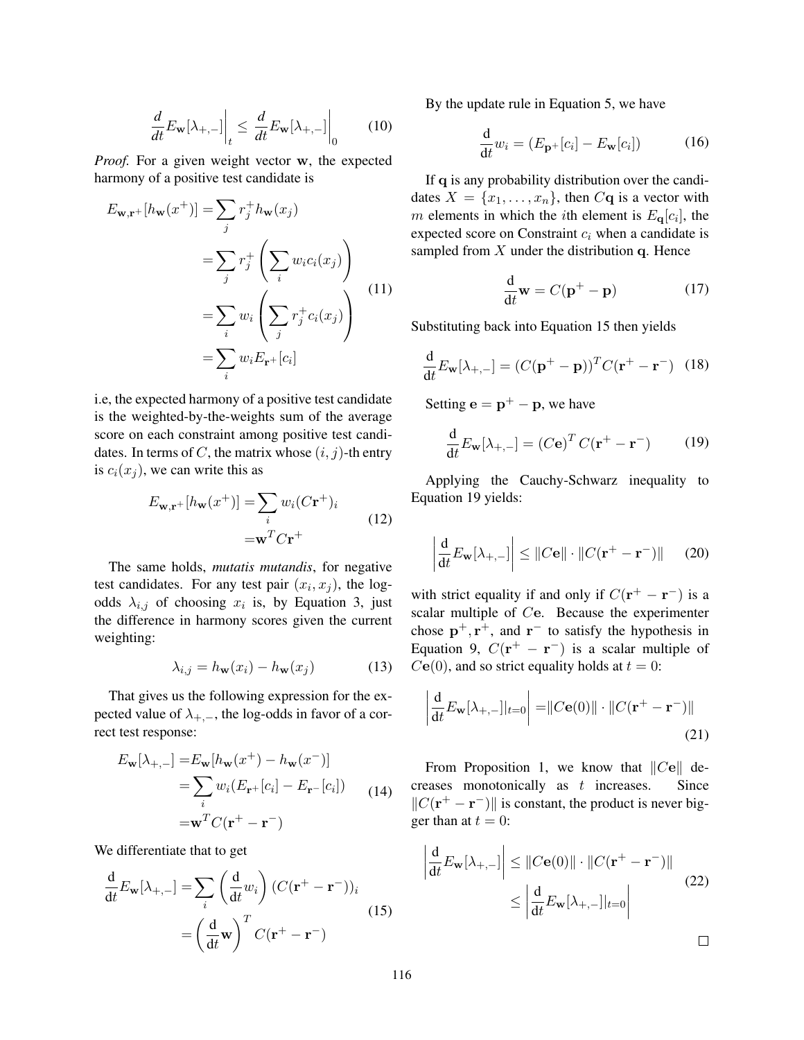$$
\frac{d}{dt} E_{\mathbf{w}}[\lambda_{+,-}] \Big|_{t} \le \frac{d}{dt} E_{\mathbf{w}}[\lambda_{+,-}] \Big|_{0} \qquad (10)
$$

*Proof.* For a given weight vector w, the expected harmony of a positive test candidate is

$$
E_{\mathbf{w},\mathbf{r}^+}[h_{\mathbf{w}}(x^+)] = \sum_j r_j^+ h_{\mathbf{w}}(x_j)
$$
  

$$
= \sum_j r_j^+ \left(\sum_i w_i c_i(x_j)\right)
$$
  

$$
= \sum_i w_i \left(\sum_j r_j^+ c_i(x_j)\right)
$$
  

$$
= \sum_i w_i E_{\mathbf{r}^+}[c_i]
$$
 (11)

i.e, the expected harmony of a positive test candidate is the weighted-by-the-weights sum of the average score on each constraint among positive test candidates. In terms of C, the matrix whose  $(i, j)$ -th entry is  $c_i(x_j)$ , we can write this as

$$
E_{\mathbf{w},\mathbf{r}+}[h_{\mathbf{w}}(x^+)] = \sum_i w_i (C\mathbf{r}^+)_i
$$
  
=
$$
\mathbf{w}^T C \mathbf{r}^+
$$
 (12)

The same holds, *mutatis mutandis*, for negative test candidates. For any test pair  $(x_i, x_j)$ , the logodds  $\lambda_{i,j}$  of choosing  $x_i$  is, by Equation 3, just the difference in harmony scores given the current weighting:

$$
\lambda_{i,j} = h_{\mathbf{w}}(x_i) - h_{\mathbf{w}}(x_j)
$$
 (13)

That gives us the following expression for the expected value of  $\lambda_{+,-}$ , the log-odds in favor of a correct test response:

$$
E_{\mathbf{w}}[\lambda_{+,-}] = E_{\mathbf{w}}[h_{\mathbf{w}}(x^+) - h_{\mathbf{w}}(x^-)]
$$
  
= 
$$
\sum_{i} w_i (E_{\mathbf{r}^+}[c_i] - E_{\mathbf{r}^-}[c_i])
$$
 (14)  
= 
$$
\mathbf{w}^T C(\mathbf{r}^+ - \mathbf{r}^-)
$$

We differentiate that to get

$$
\frac{d}{dt} E_{\mathbf{w}}[\lambda_{+,-}] = \sum_{i} \left(\frac{d}{dt} w_{i}\right) (C(\mathbf{r}^{+} - \mathbf{r}^{-}))_{i}
$$
\n
$$
= \left(\frac{d}{dt} \mathbf{w}\right)^{T} C(\mathbf{r}^{+} - \mathbf{r}^{-})
$$
\n(15)

By the update rule in Equation 5, we have

$$
\frac{\mathrm{d}}{\mathrm{d}t}w_i = (E_{\mathbf{p}^+}[c_i] - E_{\mathbf{w}}[c_i])\tag{16}
$$

If q is any probability distribution over the candidates  $X = \{x_1, \ldots, x_n\}$ , then  $C\mathbf{q}$  is a vector with m elements in which the *i*th element is  $E_{q}[c_i]$ , the expected score on Constraint  $c_i$  when a candidate is sampled from  $X$  under the distribution  $q$ . Hence

$$
\frac{\mathrm{d}}{\mathrm{d}t}\mathbf{w} = C(\mathbf{p}^+ - \mathbf{p})\tag{17}
$$

Substituting back into Equation 15 then yields

$$
\frac{\mathrm{d}}{\mathrm{d}t}E_{\mathbf{w}}[\lambda_{+,-}] = (C(\mathbf{p}^+ - \mathbf{p}))^T C(\mathbf{r}^+ - \mathbf{r}^-) \tag{18}
$$

Setting  $\mathbf{e} = \mathbf{p}^+ - \mathbf{p}$ , we have

$$
\frac{\mathrm{d}}{\mathrm{d}t} E_{\mathbf{w}}[\lambda_{+,-}] = \left( C \mathbf{e} \right)^T C (\mathbf{r}^+ - \mathbf{r}^-) \tag{19}
$$

Applying the Cauchy-Schwarz inequality to Equation 19 yields:

$$
\left| \frac{\mathrm{d}}{\mathrm{d}t} E_{\mathbf{w}}[\lambda_{+,-}] \right| \leq \| C \mathbf{e} \| \cdot \| C (\mathbf{r}^+ - \mathbf{r}^-) \| \qquad (20)
$$

with strict equality if and only if  $C(\mathbf{r}^+ - \mathbf{r}^-)$  is a scalar multiple of Ce. Because the experimenter chose  $\mathbf{p}^+, \mathbf{r}^+,$  and  $\mathbf{r}^-$  to satisfy the hypothesis in Equation 9,  $C(\mathbf{r}^+ - \mathbf{r}^-)$  is a scalar multiple of  $C**e**(0)$ , and so strict equality holds at  $t = 0$ :

$$
\left| \frac{\mathrm{d}}{\mathrm{d}t} E_{\mathbf{w}}[\lambda_{+,-}]|_{t=0} \right| = \| C \mathbf{e}(0) \| \cdot \| C(\mathbf{r}^+ - \mathbf{r}^-) \|
$$
\n(21)

From Proposition 1, we know that  $||C\mathbf{e}||$  de-<br>eases monotonically as t increases. Since creases monotonically as  $t$  increases.  $||C(\mathbf{r}^+ - \mathbf{r}^-)||$  is constant, the product is never bigger than at  $t = 0$ :

$$
\left| \frac{\mathrm{d}}{\mathrm{d}t} E_{\mathbf{w}}[\lambda_{+,-}] \right| \leq \| C \mathbf{e}(0) \| \cdot \| C(\mathbf{r}^+ - \mathbf{r}^-) \|
$$
\n
$$
\leq \left| \frac{\mathrm{d}}{\mathrm{d}t} E_{\mathbf{w}}[\lambda_{+,-}]|_{t=0} \right| \tag{22}
$$

 $\Box$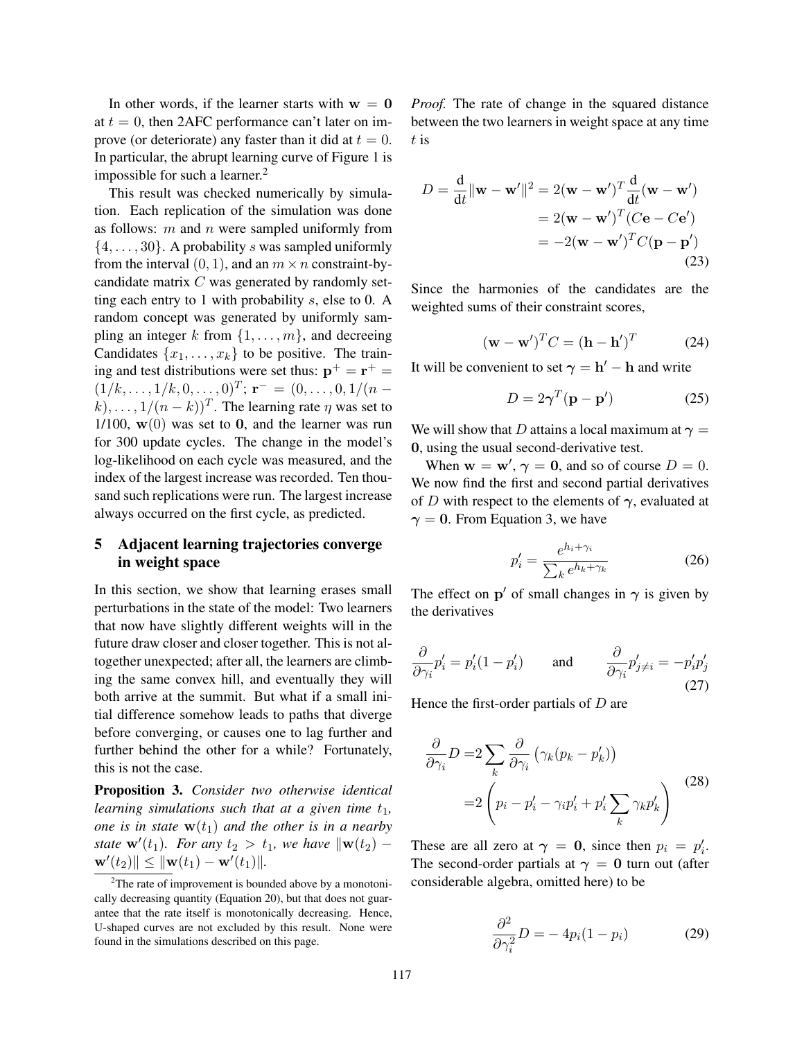In other words, if the learner starts with  $w = 0$ at  $t = 0$ , then 2AFC performance can't later on improve (or deteriorate) any faster than it did at  $t = 0$ . In particular, the abrupt learning curve of Figure 1 is impossible for such a learner.<sup>2</sup>

This result was checked numerically by simulation. Each replication of the simulation was done as follows:  $m$  and  $n$  were sampled uniformly from  $\{4, \ldots, 30\}$ . A probability s was sampled uniformly from the interval  $(0, 1)$ , and an  $m \times n$  constraint-bycandidate matrix  $C$  was generated by randomly setting each entry to 1 with probability s, else to 0. A random concept was generated by uniformly sampling an integer k from  $\{1, \ldots, m\}$ , and decreeing Candidates  $\{x_1, \ldots, x_k\}$  to be positive. The training and test distributions were set thus:  $p^+ = r^+ =$  $(1/k, \ldots, 1/k, 0, \ldots, 0)^T$ ;  $\mathbf{r}^- = (0, \ldots, 0, 1/(n (k), \ldots, 1/(n-k))^T$ . The learning rate  $\eta$  was set to 1/100,  $\mathbf{w}(0)$  was set to 0, and the learner was run for 300 update cycles. The change in the model's log-likelihood on each cycle was measured, and the index of the largest increase was recorded. Ten thousand such replications were run. The largest increase always occurred on the first cycle, as predicted.

## 5 Adjacent learning trajectories converge in weight space

In this section, we show that learning erases small perturbations in the state of the model: Two learners that now have slightly different weights will in the future draw closer and closer together. This is not altogether unexpected; after all, the learners are climbing the same convex hill, and eventually they will both arrive at the summit. But what if a small initial difference somehow leads to paths that diverge before converging, or causes one to lag further and further behind the other for a while? Fortunately, this is not the case.

Proposition 3. *Consider two otherwise identical learning simulations such that at a given time*  $t_1$ *, one is in state*  $\mathbf{w}(t_1)$  *and the other is in a nearby state*  $\mathbf{w}'(t_1)$ *. For any*  $t_2 > t_1$ *, we have*  $\|\mathbf{w}(t_2) \mathbf{w}'(t_2)\| \leq \|\mathbf{w}(t_1) - \mathbf{w}'(t_1)\|.$ 

*Proof.* The rate of change in the squared distance between the two learners in weight space at any time t is

$$
D = \frac{\mathrm{d}}{\mathrm{d}t} ||\mathbf{w} - \mathbf{w}'||^2 = 2(\mathbf{w} - \mathbf{w}')^T \frac{\mathrm{d}}{\mathrm{d}t} (\mathbf{w} - \mathbf{w}')
$$
  
= 2(\mathbf{w} - \mathbf{w}')^T (C\mathbf{e} - C\mathbf{e}')  
= -2(\mathbf{w} - \mathbf{w}')^T C(\mathbf{p} - \mathbf{p}')(23)

Since the harmonies of the candidates are the weighted sums of their constraint scores,

$$
(\mathbf{w} - \mathbf{w}')^T C = (\mathbf{h} - \mathbf{h}')^T
$$
 (24)

It will be convenient to set  $\gamma = h' - h$  and write

$$
D = 2\gamma^T (\mathbf{p} - \mathbf{p}')
$$
 (25)

We will show that D attains a local maximum at  $\gamma =$ 0, using the usual second-derivative test.

When  $w = w'$ ,  $\gamma = 0$ , and so of course  $D = 0$ . We now find the first and second partial derivatives of D with respect to the elements of  $\gamma$ , evaluated at  $\gamma = 0$ . From Equation 3, we have

$$
p_i' = \frac{e^{h_i + \gamma_i}}{\sum_k e^{h_k + \gamma_k}}
$$
(26)

The effect on  $p'$  of small changes in  $\gamma$  is given by the derivatives

$$
\frac{\partial}{\partial \gamma_i} p'_i = p'_i (1 - p'_i) \quad \text{and} \quad \frac{\partial}{\partial \gamma_i} p'_{j \neq i} = -p'_i p'_j \tag{27}
$$

Hence the first-order partials of  $D$  are

$$
\frac{\partial}{\partial \gamma_i} D = 2 \sum_k \frac{\partial}{\partial \gamma_i} \left( \gamma_k (p_k - p'_k) \right)
$$

$$
= 2 \left( p_i - p'_i - \gamma_i p'_i + p'_i \sum_k \gamma_k p'_k \right)
$$
(28)

These are all zero at  $\gamma = 0$ , since then  $p_i = p'_i$ . The second-order partials at  $\gamma = 0$  turn out (after considerable algebra, omitted here) to be

$$
\frac{\partial^2}{\partial \gamma_i^2}D = -4p_i(1-p_i) \tag{29}
$$

<sup>&</sup>lt;sup>2</sup>The rate of improvement is bounded above by a monotonically decreasing quantity (Equation 20), but that does not guarantee that the rate itself is monotonically decreasing. Hence, U-shaped curves are not excluded by this result. None were found in the simulations described on this page.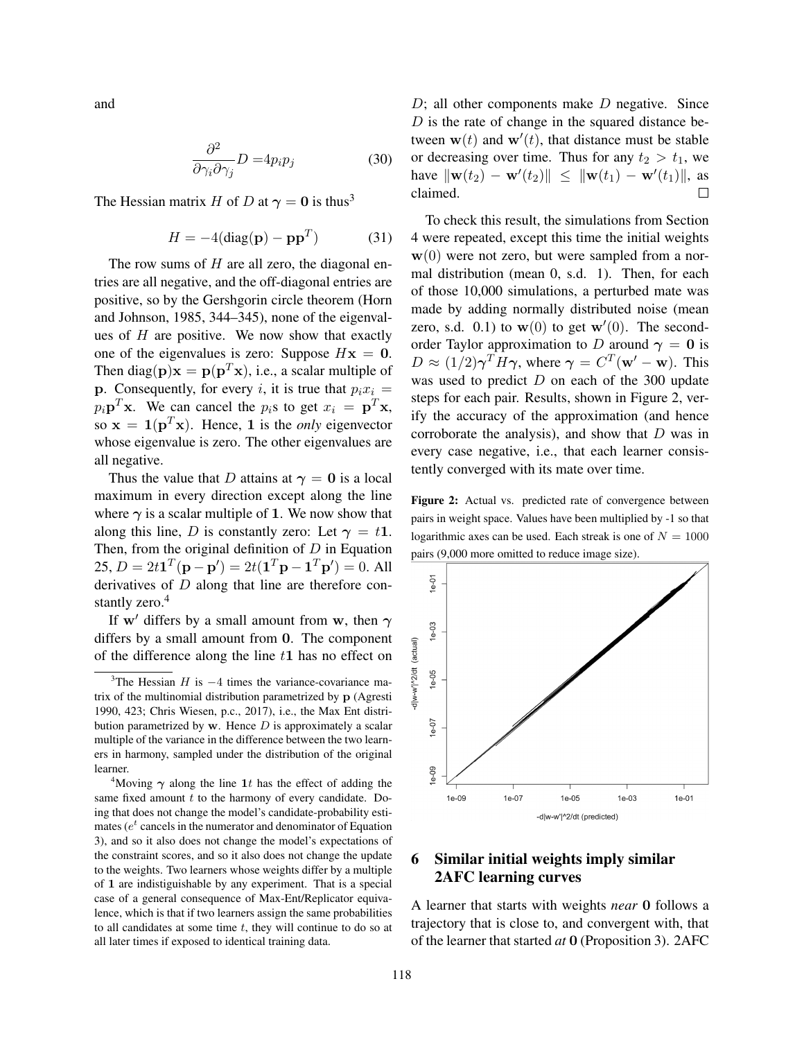and

$$
\frac{\partial^2}{\partial \gamma_i \partial \gamma_j} D = 4p_i p_j \tag{30}
$$

The Hessian matrix H of D at  $\gamma = 0$  is thus<sup>3</sup>

$$
H = -4(\text{diag}(\mathbf{p}) - \mathbf{p}\mathbf{p}^T) \tag{31}
$$

The row sums of  $H$  are all zero, the diagonal entries are all negative, and the off-diagonal entries are positive, so by the Gershgorin circle theorem (Horn and Johnson, 1985, 344–345), none of the eigenvalues of  $H$  are positive. We now show that exactly one of the eigenvalues is zero: Suppose  $Hx = 0$ . Then diag( $\mathbf{p}$ ) $\mathbf{x} = \mathbf{p}(\mathbf{p}^T \mathbf{x})$ , i.e., a scalar multiple of **p**. Consequently, for every i, it is true that  $p_i x_i =$  $p_i \mathbf{p}^T \mathbf{x}$ . We can cancel the  $p_i$ s to get  $x_i = \mathbf{p}^T \mathbf{x}$ , so  $\mathbf{x} = \mathbf{1}(\mathbf{p}^T \mathbf{x})$ . Hence, 1 is the *only* eigenvector whose eigenvalue is zero. The other eigenvalues are all negative.

Thus the value that D attains at  $\gamma = 0$  is a local maximum in every direction except along the line where  $\gamma$  is a scalar multiple of 1. We now show that along this line, D is constantly zero: Let  $\gamma = t\mathbf{1}$ . Then, from the original definition of  $D$  in Equation 25,  $D = 2t\mathbf{1}^T(\mathbf{p} - \mathbf{p}') = 2t(\mathbf{1}^T\mathbf{p} - \mathbf{1}^T\mathbf{p}') = 0$ . All derivatives of  $D$  along that line are therefore constantly zero.<sup>4</sup>

If w' differs by a small amount from w, then  $\gamma$ differs by a small amount from 0. The component of the difference along the line  $t1$  has no effect on  $D$ ; all other components make  $D$  negative. Since  $D$  is the rate of change in the squared distance between  $\mathbf{w}(t)$  and  $\mathbf{w}'(t)$ , that distance must be stable or decreasing over time. Thus for any  $t_2 > t_1$ , we have  $\|\mathbf{w}(t_2) - \mathbf{w}'(t_2)\| \leq \|\mathbf{w}(t_1) - \mathbf{w}'(t_1)\|$ , as claimed.

To check this result, the simulations from Section 4 were repeated, except this time the initial weights  $w(0)$  were not zero, but were sampled from a normal distribution (mean 0, s.d. 1). Then, for each of those 10,000 simulations, a perturbed mate was made by adding normally distributed noise (mean zero, s.d. 0.1) to  $w(0)$  to get  $w'(0)$ . The secondorder Taylor approximation to D around  $\gamma = 0$  is  $D \approx (1/2)\gamma^T H \gamma$ , where  $\gamma = C^T(\mathbf{w}' - \mathbf{w})$ . This was used to predict  $D$  on each of the 300 update steps for each pair. Results, shown in Figure 2, verify the accuracy of the approximation (and hence corroborate the analysis), and show that  $D$  was in every case negative, i.e., that each learner consistently converged with its mate over time.

Figure 2: Actual vs. predicted rate of convergence between pairs in weight space. Values have been multiplied by -1 so that logarithmic axes can be used. Each streak is one of  $N = 1000$ pairs (9,000 more omitted to reduce image size).



# 6 Similar initial weights imply similar 2AFC learning curves

A learner that starts with weights *near* 0 follows a trajectory that is close to, and convergent with, that of the learner that started *at* 0 (Proposition 3). 2AFC

<sup>&</sup>lt;sup>3</sup>The Hessian H is  $-4$  times the variance-covariance matrix of the multinomial distribution parametrized by p (Agresti 1990, 423; Chris Wiesen, p.c., 2017), i.e., the Max Ent distribution parametrized by  $w$ . Hence  $D$  is approximately a scalar multiple of the variance in the difference between the two learners in harmony, sampled under the distribution of the original learner.

<sup>&</sup>lt;sup>4</sup>Moving  $\gamma$  along the line 1t has the effect of adding the same fixed amount  $t$  to the harmony of every candidate. Doing that does not change the model's candidate-probability estimates ( $e^t$  cancels in the numerator and denominator of Equation 3), and so it also does not change the model's expectations of the constraint scores, and so it also does not change the update to the weights. Two learners whose weights differ by a multiple of 1 are indistiguishable by any experiment. That is a special case of a general consequence of Max-Ent/Replicator equivalence, which is that if two learners assign the same probabilities to all candidates at some time  $t$ , they will continue to do so at all later times if exposed to identical training data.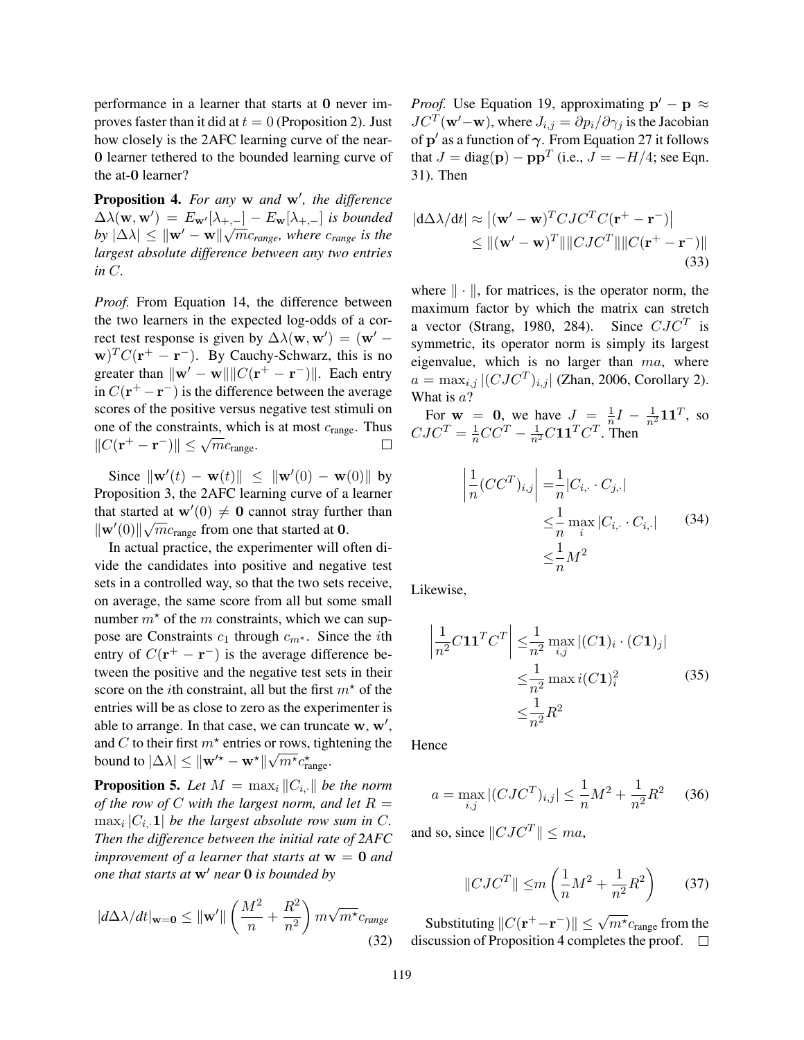performance in a learner that starts at 0 never improves faster than it did at  $t = 0$  (Proposition 2). Just how closely is the 2AFC learning curve of the near-0 learner tethered to the bounded learning curve of the at-0 learner?

**Proposition 4.** For any w and w', the difference  $\Delta\lambda(\mathbf{w},\mathbf{w}') = E_{\mathbf{w}'}[\lambda_{+,-}] - E_{\mathbf{w}}[\lambda_{+,-}]$  *is bounded*  $|b y | \Delta \lambda| \leq ||w' - w|| \sqrt{m} c_{range}$ , where  $c_{range}$  is the *largest absolute difference between any two entries in* C*.*

*Proof.* From Equation 14, the difference between the two learners in the expected log-odds of a correct test response is given by  $\Delta\lambda(\mathbf{w}, \mathbf{w}') = (\mathbf{w}' - \mathbf{w}')$  $\mathbf{w})^T C(\mathbf{r}^+ - \mathbf{r}^-)$ . By Cauchy-Schwarz, this is no greater than  $\|\mathbf{w}' - \mathbf{w}\| \|C(\mathbf{r}^+ - \mathbf{r}^-)\|$ . Each entry in  $C(\mathbf{r}^+ - \mathbf{r}^-)$  is the difference between the average scores of the positive versus negative test stimuli on one of the constraints, which is at most  $c_{\text{range}}$ . Thus  $||C(\mathbf{r}^+ - \mathbf{r}^-)|| \leq \sqrt{m}c_{\text{range}}.$  $\Box$ 

Since  $\|\mathbf{w}'(t) - \mathbf{w}(t)\| \leq \|\mathbf{w}'(0) - \mathbf{w}(0)\|$  by Proposition 3, the 2AFC learning curve of a learner that started at  $\mathbf{w}'(0) \neq \mathbf{0}$  cannot stray further than  $\|\mathbf{w}'(0)\|\sqrt{m}c_{\text{range}}$  from one that started at 0.

In actual practice, the experimenter will often divide the candidates into positive and negative test sets in a controlled way, so that the two sets receive, on average, the same score from all but some small number  $m^*$  of the m constraints, which we can suppose are Constraints  $c_1$  through  $c_{m^*}$ . Since the *i*th entry of  $C(\mathbf{r}^+ - \mathbf{r}^-)$  is the average difference between the positive and the negative test sets in their score on the *i*th constraint, all but the first  $m^*$  of the entries will be as close to zero as the experimenter is able to arrange. In that case, we can truncate  $w, w',$ and C to their first  $m^*$  entries or rows, tightening the bound to  $|\Delta\lambda| \leq ||\mathbf{w}'^* - \mathbf{w}^*||\sqrt{m^*c_{\text{range}}^*}$ .

**Proposition 5.** Let  $M = \max_i ||C_i||$  be the norm *of the row of* C with the largest norm, and let  $R =$  $\max_i |C_i, \mathbf{1}|$  *be the largest absolute row sum in C. Then the difference between the initial rate of 2AFC improvement of a learner that starts at*  $w = 0$  *and one that starts at*  $w'$  *near* 0 *is bounded by* 

$$
|d\Delta\lambda/dt|_{\mathbf{w}=\mathbf{0}} \le ||\mathbf{w}'|| \left(\frac{M^2}{n} + \frac{R^2}{n^2}\right) m\sqrt{m^*}c_{range}
$$
\n(32)

*Proof.* Use Equation 19, approximating  $p' - p \approx$  $JC^T(\mathbf{w}'-\mathbf{w})$ , where  $J_{i,j} = \partial p_i/\partial \gamma_j$  is the Jacobian of  $\mathbf{p}'$  as a function of  $\boldsymbol{\gamma}.$  From Equation 27 it follows that  $J = \text{diag}(\mathbf{p}) - \mathbf{p}\mathbf{p}^T$  (i.e.,  $J = -H/4$ ; see Eqn. 31). Then

$$
|\mathbf{d}\Delta\lambda/\mathbf{d}t| \approx |(\mathbf{w}' - \mathbf{w})^T CJC^T C(\mathbf{r}^+ - \mathbf{r}^-)|
$$
  
\n
$$
\leq ||(\mathbf{w}' - \mathbf{w})^T|| ||CJC^T|| ||C(\mathbf{r}^+ - \mathbf{r}^-)||
$$
\n(33)

where  $\|\cdot\|$ , for matrices, is the operator norm, the maximum factor by which the matrix can stretch a vector (Strang, 1980, 284). Since  $CJC^T$  is symmetric, its operator norm is simply its largest eigenvalue, which is no larger than  $ma$ , where  $a = \max_{i,j} |(CJC^T)_{i,j}|$  (Zhan, 2006, Corollary 2). What is  $a$ ?

For  $w = 0$ , we have  $J = \frac{1}{n}$  $\frac{1}{n}I - \frac{1}{n^2}\mathbf{1}\mathbf{1}^T$ , so  $CJC^T = \frac{1}{n}CC^T - \frac{1}{n^2}C\mathbf{1}\mathbf{1}^T C^T$ . Then

$$
\left| \frac{1}{n} (CC^T)_{i,j} \right| = \frac{1}{n} |C_{i,\cdot} \cdot C_{j,\cdot}|
$$
  

$$
\leq \frac{1}{n} \max_i |C_{i,\cdot} \cdot C_{i,\cdot}|
$$
(34)  

$$
\leq \frac{1}{n} M^2
$$

Likewise,

$$
\left| \frac{1}{n^2} C \mathbf{1} \mathbf{1}^T C^T \right| \leq \frac{1}{n^2} \max_{i,j} |(C \mathbf{1})_i \cdot (C \mathbf{1})_j|
$$
  

$$
\leq \frac{1}{n^2} \max_i (C \mathbf{1})_i^2 \tag{35}
$$
  

$$
\leq \frac{1}{n^2} R^2
$$

Hence

$$
a = \max_{i,j} |(CJC^T)_{i,j}| \le \frac{1}{n}M^2 + \frac{1}{n^2}R^2 \tag{36}
$$

and so, since  $\|CJC^T\| \leq ma$ ,

$$
||CJC^{T}|| \le m\left(\frac{1}{n}M^{2} + \frac{1}{n^{2}}R^{2}\right) \qquad (37)
$$

Substituting  $||C(\mathbf{r}^+ - \mathbf{r}^-)|| \leq \sqrt{m^{\star}} c_{\text{range}}$  from the discussion of Proposition 4 completes the proof.  $\square$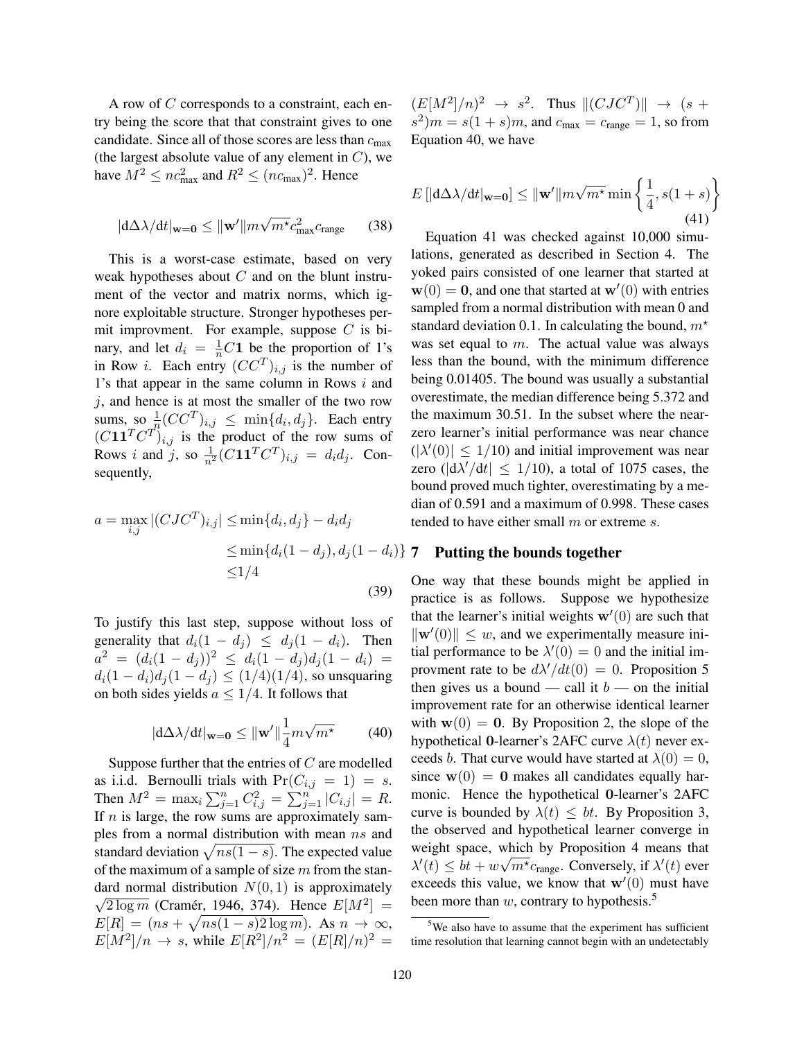A row of C corresponds to a constraint, each entry being the score that that constraint gives to one candidate. Since all of those scores are less than  $c_{\text{max}}$ (the largest absolute value of any element in  $C$ ), we have  $M^2 \leq nc_{\text{max}}^2$  and  $R^2 \leq (nc_{\text{max}})^2$ . Hence

$$
|\mathrm{d}\Delta\lambda/\mathrm{d}t|_{\mathbf{w}=\mathbf{0}} \le ||\mathbf{w}'||m\sqrt{m^{\star}}c_{\text{max}}^2c_{\text{range}} \qquad (38)
$$

This is a worst-case estimate, based on very weak hypotheses about  $C$  and on the blunt instrument of the vector and matrix norms, which ignore exploitable structure. Stronger hypotheses permit improvment. For example, suppose  $C$  is binary, and let  $d_i = \frac{1}{n}C$ 1 be the proportion of 1's in Row *i*. Each entry  $(CC^T)_{i,j}$  is the number of 1's that appear in the same column in Rows  $i$  and  $i$ , and hence is at most the smaller of the two row sums, so  $\frac{1}{a^n}(CC^T)_{i,j} \leq \min\{d_i, d_j\}$ . Each entry  $(C11^TC^T)_{i,j}$  is the product of the row sums of Rows *i* and *j*, so  $\frac{1}{n^2} (C \mathbf{1} \mathbf{1}^T C^T)_{i,j} = d_i d_j$ . Consequently,

$$
a = \max_{i,j} |(CJC^T)_{i,j}| \le \min\{d_i, d_j\} - d_i d_j
$$
  

$$
\le \min\{d_i(1 - d_j), d_j(1 - d_i)\}
$$
  

$$
\le 1/4
$$
 (39)

To justify this last step, suppose without loss of generality that  $d_i(1 - d_i) \leq d_i(1 - d_i)$ . Then  $a^2 = (d_i(1-d_j))^2 \leq d_i(1-d_j)d_j(1-d_i) =$  $d_i(1-d_i)d_j(1-d_j) \leq (1/4)(1/4)$ , so unsquaring on both sides yields  $a \leq 1/4$ . It follows that

$$
|\mathrm{d}\Delta\lambda/\mathrm{d}t|_{\mathbf{w}=\mathbf{0}} \le ||\mathbf{w}'|| \frac{1}{4} m \sqrt{m^{\star}} \tag{40}
$$

Suppose further that the entries of  $C$  are modelled as i.i.d. Bernoulli trials with  $Pr(C_{i,j} = 1) = s$ . Then  $M^2 = \max_i \sum_{j=1}^n C_{i,j}^2 = \sum_{j=1}^n |C_{i,j}| = R$ . If  $n$  is large, the row sums are approximately samples from a normal distribution with mean ns and standard deviation  $\sqrt{ns(1-s)}$ . The expected value of the maximum of a sample of size  $m$  from the standard normal distribution  $N(0, 1)$  is approximately  $\sqrt{2 \log m}$  (Cramér, 1946, 374). Hence  $E[M^2] =$  $E[R] = (ns + \sqrt{ns(1-s)2 \log m})$ . As  $n \to \infty$ ,  $E[M^2]/n \to s$ , while  $E[R^2]/n^2 = (E[R]/n)^2 =$ 

 $(E[M^2]/n)^2 \rightarrow s^2$ . Thus  $||(CJC^T)|| \rightarrow (s +$  $s^2$ ) $m = s(1 + s)m$ , and  $c_{\text{max}} = c_{\text{range}} = 1$ , so from Equation 40, we have

$$
E\left[|\mathbf{d}\Delta\lambda/\mathbf{d}t|\mathbf{w}=\mathbf{0}\right] \leq \|\mathbf{w}'\|m\sqrt{m^*}\min\left\{\frac{1}{4}, s(1+s)\right\}
$$
\n(41)

Equation 41 was checked against 10,000 simulations, generated as described in Section 4. The yoked pairs consisted of one learner that started at  $\mathbf{w}(0) = \mathbf{0}$ , and one that started at  $\mathbf{w}'(0)$  with entries sampled from a normal distribution with mean 0 and standard deviation 0.1. In calculating the bound,  $m^*$ was set equal to  $m$ . The actual value was always less than the bound, with the minimum difference being 0.01405. The bound was usually a substantial overestimate, the median difference being 5.372 and the maximum 30.51. In the subset where the nearzero learner's initial performance was near chance  $(|\lambda'(0)| \leq 1/10)$  and initial improvement was near zero ( $|d\lambda'/dt| \le 1/10$ ), a total of 1075 cases, the bound proved much tighter, overestimating by a median of 0.591 and a maximum of 0.998. These cases tended to have either small  $m$  or extreme  $s$ .

#### 7 Putting the bounds together

One way that these bounds might be applied in practice is as follows. Suppose we hypothesize that the learner's initial weights  $w'(0)$  are such that  $\|\mathbf{w}'(0)\| \leq w$ , and we experimentally measure initial performance to be  $\lambda'(0) = 0$  and the initial improvment rate to be  $d\lambda/dt(0) = 0$ . Proposition 5 then gives us a bound — call it  $b$  — on the initial improvement rate for an otherwise identical learner with  $w(0) = 0$ . By Proposition 2, the slope of the hypothetical 0-learner's 2AFC curve  $\lambda(t)$  never exceeds b. That curve would have started at  $\lambda(0) = 0$ , since  $w(0) = 0$  makes all candidates equally harmonic. Hence the hypothetical 0-learner's 2AFC curve is bounded by  $\lambda(t) \leq bt$ . By Proposition 3, the observed and hypothetical learner converge in weight space, which by Proposition 4 means that  $\lambda'(t) \leq bt + w\sqrt{m^*c_{\text{range}}}$ . Conversely, if  $\lambda'(t)$  ever exceeds this value, we know that  $w'(0)$  must have been more than  $w$ , contrary to hypothesis.<sup>5</sup>

<sup>&</sup>lt;sup>5</sup>We also have to assume that the experiment has sufficient time resolution that learning cannot begin with an undetectably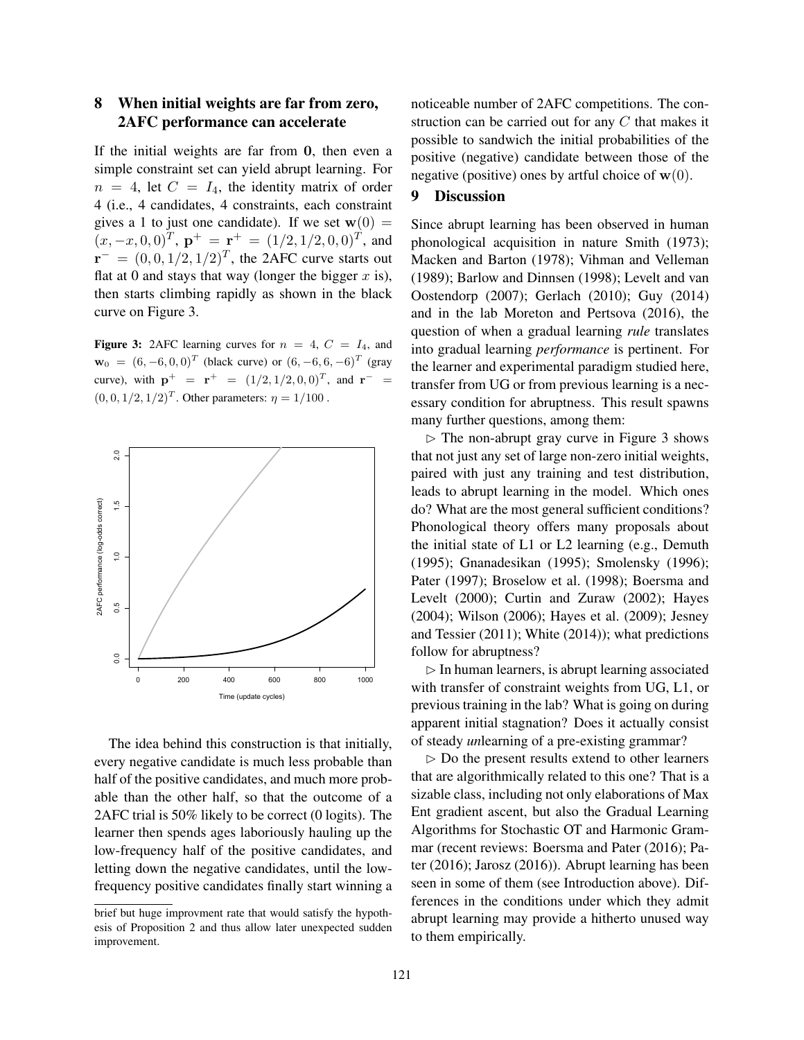# 8 When initial weights are far from zero, 2AFC performance can accelerate

If the initial weights are far from 0, then even a simple constraint set can yield abrupt learning. For  $n = 4$ , let  $C = I_4$ , the identity matrix of order 4 (i.e., 4 candidates, 4 constraints, each constraint gives a 1 to just one candidate). If we set  $w(0) =$  $(x, -x, 0, 0)^T$ ,  $\mathbf{p}^+ = \mathbf{r}^+ = (1/2, 1/2, 0, 0)^T$ , and  $\mathbf{r}^- = (0,0,1/2,1/2)^T$ , the 2AFC curve starts out flat at 0 and stays that way (longer the bigger  $x$  is), then starts climbing rapidly as shown in the black curve on Figure 3.

Figure 3: 2AFC learning curves for  $n = 4$ ,  $C = I_4$ , and  $\mathbf{w}_0 = (6, -6, 0, 0)^T$  (black curve) or  $(6, -6, 6, -6)^T$  (gray curve), with  $p^+ = r^+ = (1/2, 1/2, 0, 0)^T$ , and  $r^- =$  $(0, 0, 1/2, 1/2)^T$ . Other parameters:  $\eta = 1/100$ .



The idea behind this construction is that initially, every negative candidate is much less probable than half of the positive candidates, and much more probable than the other half, so that the outcome of a 2AFC trial is 50% likely to be correct (0 logits). The learner then spends ages laboriously hauling up the low-frequency half of the positive candidates, and letting down the negative candidates, until the lowfrequency positive candidates finally start winning a

noticeable number of 2AFC competitions. The construction can be carried out for any  $C$  that makes it possible to sandwich the initial probabilities of the positive (negative) candidate between those of the negative (positive) ones by artful choice of  $w(0)$ .

# 9 Discussion

Since abrupt learning has been observed in human phonological acquisition in nature Smith (1973); Macken and Barton (1978); Vihman and Velleman (1989); Barlow and Dinnsen (1998); Levelt and van Oostendorp (2007); Gerlach (2010); Guy (2014) and in the lab Moreton and Pertsova (2016), the question of when a gradual learning *rule* translates into gradual learning *performance* is pertinent. For the learner and experimental paradigm studied here, transfer from UG or from previous learning is a necessary condition for abruptness. This result spawns many further questions, among them:

 $\triangleright$  The non-abrupt gray curve in Figure 3 shows that not just any set of large non-zero initial weights, paired with just any training and test distribution, leads to abrupt learning in the model. Which ones do? What are the most general sufficient conditions? Phonological theory offers many proposals about the initial state of L1 or L2 learning (e.g., Demuth (1995); Gnanadesikan (1995); Smolensky (1996); Pater (1997); Broselow et al. (1998); Boersma and Levelt (2000); Curtin and Zuraw (2002); Hayes (2004); Wilson (2006); Hayes et al. (2009); Jesney and Tessier (2011); White (2014)); what predictions follow for abruptness?

 $\triangleright$  In human learners, is abrupt learning associated with transfer of constraint weights from UG, L1, or previous training in the lab? What is going on during apparent initial stagnation? Does it actually consist of steady *un*learning of a pre-existing grammar?

 $\triangleright$  Do the present results extend to other learners that are algorithmically related to this one? That is a sizable class, including not only elaborations of Max Ent gradient ascent, but also the Gradual Learning Algorithms for Stochastic OT and Harmonic Grammar (recent reviews: Boersma and Pater (2016); Pater (2016); Jarosz (2016)). Abrupt learning has been seen in some of them (see Introduction above). Differences in the conditions under which they admit abrupt learning may provide a hitherto unused way to them empirically.

brief but huge improvment rate that would satisfy the hypothesis of Proposition 2 and thus allow later unexpected sudden improvement.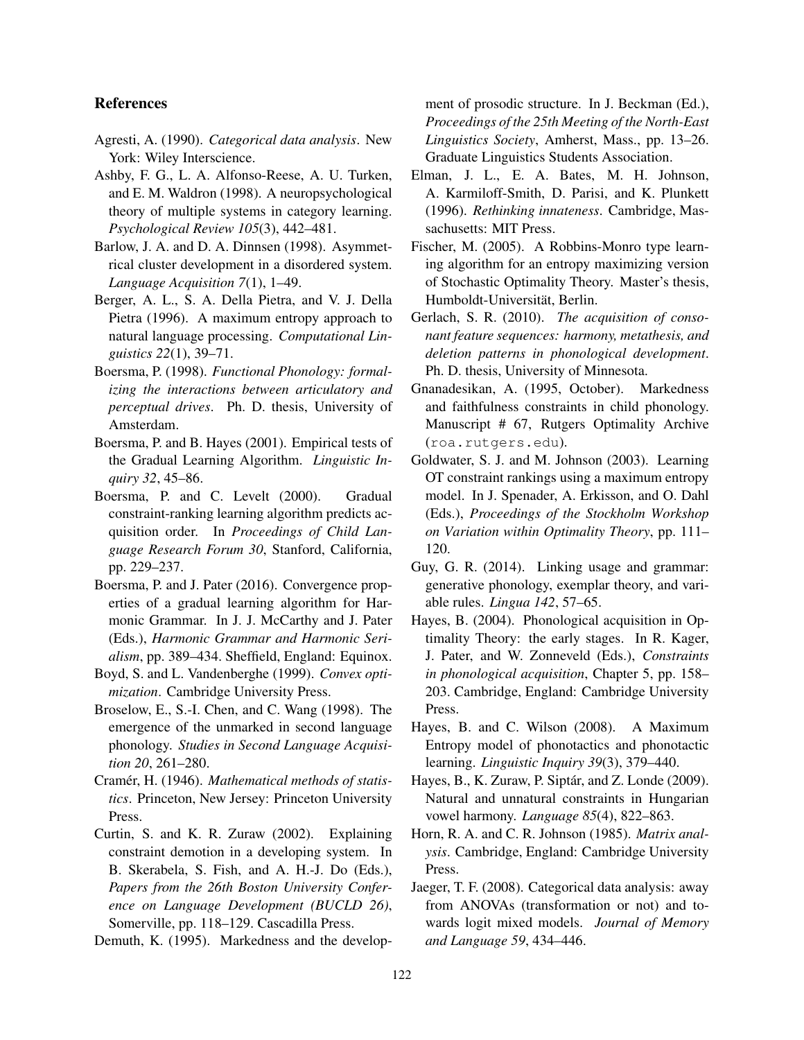### **References**

- Agresti, A. (1990). *Categorical data analysis*. New York: Wiley Interscience.
- Ashby, F. G., L. A. Alfonso-Reese, A. U. Turken, and E. M. Waldron (1998). A neuropsychological theory of multiple systems in category learning. *Psychological Review 105*(3), 442–481.
- Barlow, J. A. and D. A. Dinnsen (1998). Asymmetrical cluster development in a disordered system. *Language Acquisition 7*(1), 1–49.
- Berger, A. L., S. A. Della Pietra, and V. J. Della Pietra (1996). A maximum entropy approach to natural language processing. *Computational Linguistics 22*(1), 39–71.
- Boersma, P. (1998). *Functional Phonology: formalizing the interactions between articulatory and perceptual drives*. Ph. D. thesis, University of Amsterdam.
- Boersma, P. and B. Hayes (2001). Empirical tests of the Gradual Learning Algorithm. *Linguistic Inquiry 32*, 45–86.
- Boersma, P. and C. Levelt (2000). Gradual constraint-ranking learning algorithm predicts acquisition order. In *Proceedings of Child Language Research Forum 30*, Stanford, California, pp. 229–237.
- Boersma, P. and J. Pater (2016). Convergence properties of a gradual learning algorithm for Harmonic Grammar. In J. J. McCarthy and J. Pater (Eds.), *Harmonic Grammar and Harmonic Serialism*, pp. 389–434. Sheffield, England: Equinox.
- Boyd, S. and L. Vandenberghe (1999). *Convex optimization*. Cambridge University Press.
- Broselow, E., S.-I. Chen, and C. Wang (1998). The emergence of the unmarked in second language phonology. *Studies in Second Language Acquisition 20*, 261–280.
- Cramér, H. (1946). Mathematical methods of statis*tics*. Princeton, New Jersey: Princeton University Press.
- Curtin, S. and K. R. Zuraw (2002). Explaining constraint demotion in a developing system. In B. Skerabela, S. Fish, and A. H.-J. Do (Eds.), *Papers from the 26th Boston University Conference on Language Development (BUCLD 26)*, Somerville, pp. 118–129. Cascadilla Press.
- Demuth, K. (1995). Markedness and the develop-

ment of prosodic structure. In J. Beckman (Ed.), *Proceedings of the 25th Meeting of the North-East Linguistics Society*, Amherst, Mass., pp. 13–26. Graduate Linguistics Students Association.

- Elman, J. L., E. A. Bates, M. H. Johnson, A. Karmiloff-Smith, D. Parisi, and K. Plunkett (1996). *Rethinking innateness*. Cambridge, Massachusetts: MIT Press.
- Fischer, M. (2005). A Robbins-Monro type learning algorithm for an entropy maximizing version of Stochastic Optimality Theory. Master's thesis, Humboldt-Universität, Berlin.
- Gerlach, S. R. (2010). *The acquisition of consonant feature sequences: harmony, metathesis, and deletion patterns in phonological development*. Ph. D. thesis, University of Minnesota.
- Gnanadesikan, A. (1995, October). Markedness and faithfulness constraints in child phonology. Manuscript # 67, Rutgers Optimality Archive (roa.rutgers.edu).
- Goldwater, S. J. and M. Johnson (2003). Learning OT constraint rankings using a maximum entropy model. In J. Spenader, A. Erkisson, and O. Dahl (Eds.), *Proceedings of the Stockholm Workshop on Variation within Optimality Theory*, pp. 111– 120.
- Guy, G. R. (2014). Linking usage and grammar: generative phonology, exemplar theory, and variable rules. *Lingua 142*, 57–65.
- Hayes, B. (2004). Phonological acquisition in Optimality Theory: the early stages. In R. Kager, J. Pater, and W. Zonneveld (Eds.), *Constraints in phonological acquisition*, Chapter 5, pp. 158– 203. Cambridge, England: Cambridge University Press.
- Hayes, B. and C. Wilson (2008). A Maximum Entropy model of phonotactics and phonotactic learning. *Linguistic Inquiry 39*(3), 379–440.
- Hayes, B., K. Zuraw, P. Siptár, and Z. Londe (2009). Natural and unnatural constraints in Hungarian vowel harmony. *Language 85*(4), 822–863.
- Horn, R. A. and C. R. Johnson (1985). *Matrix analysis*. Cambridge, England: Cambridge University Press.
- Jaeger, T. F. (2008). Categorical data analysis: away from ANOVAs (transformation or not) and towards logit mixed models. *Journal of Memory and Language 59*, 434–446.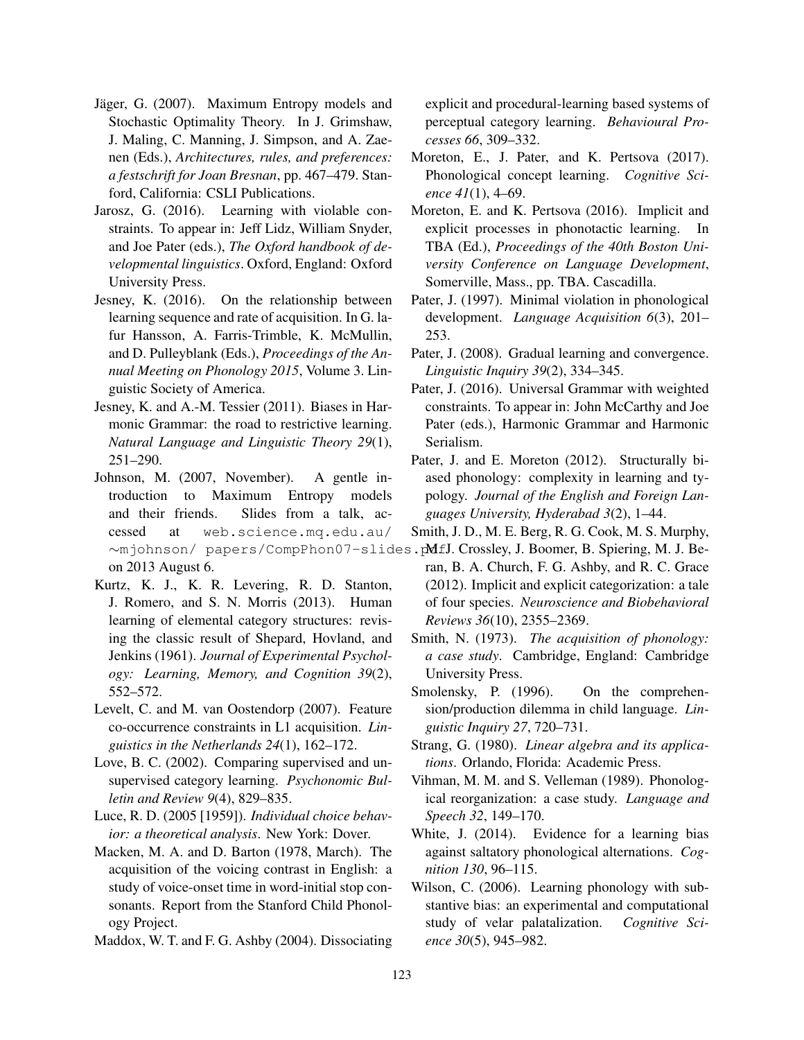- Jäger, G. (2007). Maximum Entropy models and Stochastic Optimality Theory. In J. Grimshaw, J. Maling, C. Manning, J. Simpson, and A. Zaenen (Eds.), *Architectures, rules, and preferences: a festschrift for Joan Bresnan*, pp. 467–479. Stanford, California: CSLI Publications.
- Jarosz, G. (2016). Learning with violable constraints. To appear in: Jeff Lidz, William Snyder, and Joe Pater (eds.), *The Oxford handbook of developmental linguistics*. Oxford, England: Oxford University Press.
- Jesney, K. (2016). On the relationship between learning sequence and rate of acquisition. In G. lafur Hansson, A. Farris-Trimble, K. McMullin, and D. Pulleyblank (Eds.), *Proceedings of the Annual Meeting on Phonology 2015*, Volume 3. Linguistic Society of America.
- Jesney, K. and A.-M. Tessier (2011). Biases in Harmonic Grammar: the road to restrictive learning. *Natural Language and Linguistic Theory 29*(1), 251–290.
- Johnson, M. (2007, November). A gentle introduction to Maximum Entropy models and their friends. Slides from a talk, accessed at web.science.mq.edu.au/ on 2013 August 6.
- Kurtz, K. J., K. R. Levering, R. D. Stanton, J. Romero, and S. N. Morris (2013). Human learning of elemental category structures: revising the classic result of Shepard, Hovland, and Jenkins (1961). *Journal of Experimental Psychology: Learning, Memory, and Cognition 39*(2), 552–572.
- Levelt, C. and M. van Oostendorp (2007). Feature co-occurrence constraints in L1 acquisition. *Linguistics in the Netherlands 24*(1), 162–172.
- Love, B. C. (2002). Comparing supervised and unsupervised category learning. *Psychonomic Bulletin and Review 9*(4), 829–835.
- Luce, R. D. (2005 [1959]). *Individual choice behavior: a theoretical analysis*. New York: Dover.
- Macken, M. A. and D. Barton (1978, March). The acquisition of the voicing contrast in English: a study of voice-onset time in word-initial stop consonants. Report from the Stanford Child Phonology Project.
- Maddox, W. T. and F. G. Ashby (2004). Dissociating

explicit and procedural-learning based systems of perceptual category learning. *Behavioural Processes 66*, 309–332.

- Moreton, E., J. Pater, and K. Pertsova (2017). Phonological concept learning. *Cognitive Science 41*(1), 4–69.
- Moreton, E. and K. Pertsova (2016). Implicit and explicit processes in phonotactic learning. In TBA (Ed.), *Proceedings of the 40th Boston University Conference on Language Development*, Somerville, Mass., pp. TBA. Cascadilla.
- Pater, J. (1997). Minimal violation in phonological development. *Language Acquisition 6*(3), 201– 253.
- Pater, J. (2008). Gradual learning and convergence. *Linguistic Inquiry 39*(2), 334–345.
- Pater, J. (2016). Universal Grammar with weighted constraints. To appear in: John McCarthy and Joe Pater (eds.), Harmonic Grammar and Harmonic Serialism.
- Pater, J. and E. Moreton (2012). Structurally biased phonology: complexity in learning and typology. *Journal of the English and Foreign Languages University, Hyderabad 3*(2), 1–44.
- Smith, J. D., M. E. Berg, R. G. Cook, M. S. Murphy,
- ∼mjohnson/ papers/CompPhon07-slides.p**MfJ.Crossley, J.Boomer, B.Spiering, M.J.Be**ran, B. A. Church, F. G. Ashby, and R. C. Grace (2012). Implicit and explicit categorization: a tale of four species. *Neuroscience and Biobehavioral Reviews 36*(10), 2355–2369.
	- Smith, N. (1973). *The acquisition of phonology: a case study*. Cambridge, England: Cambridge University Press.
	- Smolensky, P. (1996). On the comprehension/production dilemma in child language. *Linguistic Inquiry 27*, 720–731.
	- Strang, G. (1980). *Linear algebra and its applications*. Orlando, Florida: Academic Press.
	- Vihman, M. M. and S. Velleman (1989). Phonological reorganization: a case study. *Language and Speech 32*, 149–170.
	- White, J. (2014). Evidence for a learning bias against saltatory phonological alternations. *Cognition 130*, 96–115.
	- Wilson, C. (2006). Learning phonology with substantive bias: an experimental and computational study of velar palatalization. *Cognitive Science 30*(5), 945–982.